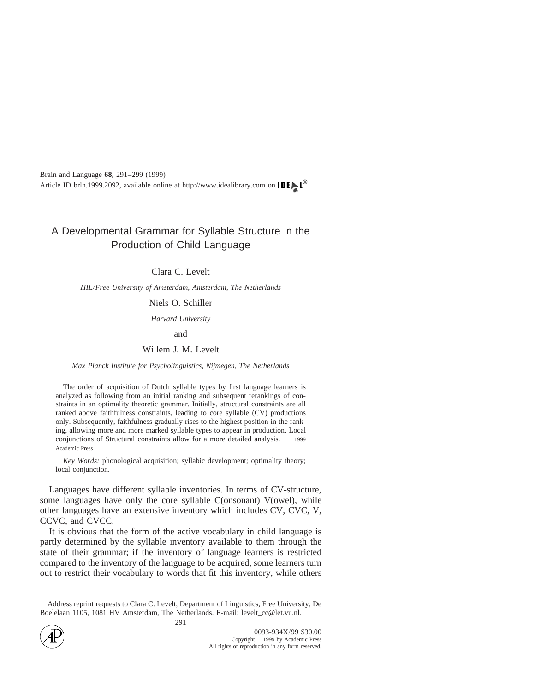# A Developmental Grammar for Syllable Structure in the Production of Child Language

Clara C. Levelt

*HIL/Free University of Amsterdam, Amsterdam, The Netherlands*

# Niels O. Schiller

*Harvard University*

and

#### Willem J. M. Levelt

#### *Max Planck Institute for Psycholinguistics, Nijmegen, The Netherlands*

The order of acquisition of Dutch syllable types by first language learners is analyzed as following from an initial ranking and subsequent rerankings of constraints in an optimality theoretic grammar. Initially, structural constraints are all ranked above faithfulness constraints, leading to core syllable (CV) productions only. Subsequently, faithfulness gradually rises to the highest position in the ranking, allowing more and more marked syllable types to appear in production. Local conjunctions of Structural constraints allow for a more detailed analysis.  $\circ$  1999 Academic Press

*Key Words:* phonological acquisition; syllabic development; optimality theory; local conjunction.

Languages have different syllable inventories. In terms of CV-structure, some languages have only the core syllable C(onsonant) V(owel), while other languages have an extensive inventory which includes CV, CVC, V, CCVC, and CVCC.

It is obvious that the form of the active vocabulary in child language is partly determined by the syllable inventory available to them through the state of their grammar; if the inventory of language learners is restricted compared to the inventory of the language to be acquired, some learners turn out to restrict their vocabulary to words that fit this inventory, while others

Address reprint requests to Clara C. Levelt, Department of Linguistics, Free University, De Boelelaan 1105, 1081 HV Amsterdam, The Netherlands. E-mail: levelt\_cc@let.vu.nl.



291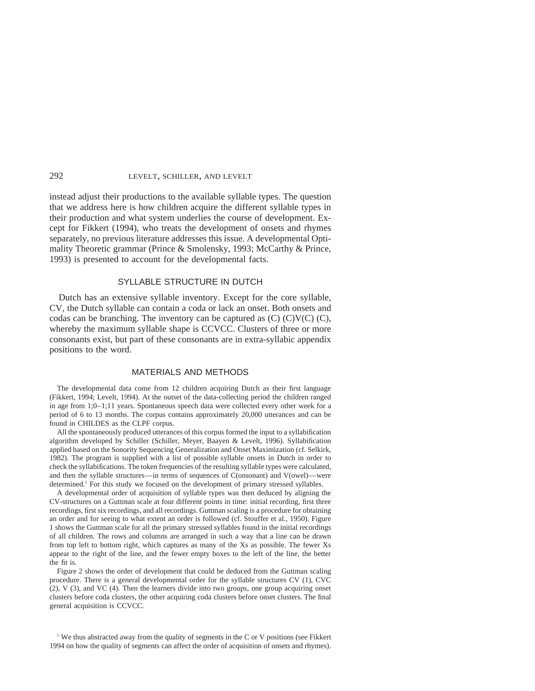instead adjust their productions to the available syllable types. The question that we address here is how children acquire the different syllable types in their production and what system underlies the course of development. Except for Fikkert (1994), who treats the development of onsets and rhymes separately, no previous literature addresses this issue. A developmental Optimality Theoretic grammar (Prince & Smolensky, 1993; McCarthy & Prince, 1993) is presented to account for the developmental facts.

#### SYLLABLE STRUCTURE IN DUTCH

Dutch has an extensive syllable inventory. Except for the core syllable, CV, the Dutch syllable can contain a coda or lack an onset. Both onsets and codas can be branching. The inventory can be captured as  $(C)$   $(C)$  $V(C)$ ,  $(C)$ , whereby the maximum syllable shape is CCVCC. Clusters of three or more consonants exist, but part of these consonants are in extra-syllabic appendix positions to the word.

#### MATERIALS AND METHODS

The developmental data come from 12 children acquiring Dutch as their first language (Fikkert, 1994; Levelt, 1994). At the outset of the data-collecting period the children ranged in age from 1;0–1;11 years. Spontaneous speech data were collected every other week for a period of 6 to 13 months. The corpus contains approximately 20,000 utterances and can be found in CHILDES as the CLPF corpus.

All the spontaneously produced utterances of this corpus formed the input to a syllabification algorithm developed by Schiller (Schiller, Meyer, Baayen & Levelt, 1996). Syllabification applied based on the Sonority Sequencing Generalization and Onset Maximization (cf. Selkirk, 1982). The program is supplied with a list of possible syllable onsets in Dutch in order to check the syllabifications. The token frequencies of the resulting syllable types were calculated, and then the syllable structures—in terms of sequences of C(onsonant) and V(owel)—were determined.<sup>1</sup> For this study we focused on the development of primary stressed syllables.

A developmental order of acquisition of syllable types was then deduced by aligning the CV-structures on a Guttman scale at four different points in time: initial recording, first three recordings, first six recordings, and all recordings. Guttman scaling is a procedure for obtaining an order and for seeing to what extent an order is followed (cf. Stouffer et al., 1950). Figure 1 shows the Guttman scale for all the primary stressed syllables found in the initial recordings of all children. The rows and columns are arranged in such a way that a line can be drawn from top left to bottom right, which captures as many of the Xs as possible. The fewer Xs appear to the right of the line, and the fewer empty boxes to the left of the line, the better the fit is.

Figure 2 shows the order of development that could be deduced from the Guttman scaling procedure. There is a general developmental order for the syllable structures CV (1), CVC  $(2)$ , V  $(3)$ , and VC  $(4)$ . Then the learners divide into two groups, one group acquiring onset clusters before coda clusters, the other acquiring coda clusters before onset clusters. The final general acquisition is CCVCC.

<sup>1</sup> We thus abstracted away from the quality of segments in the C or V positions (see Fikkert 1994 on how the quality of segments can affect the order of acquisition of onsets and rhymes).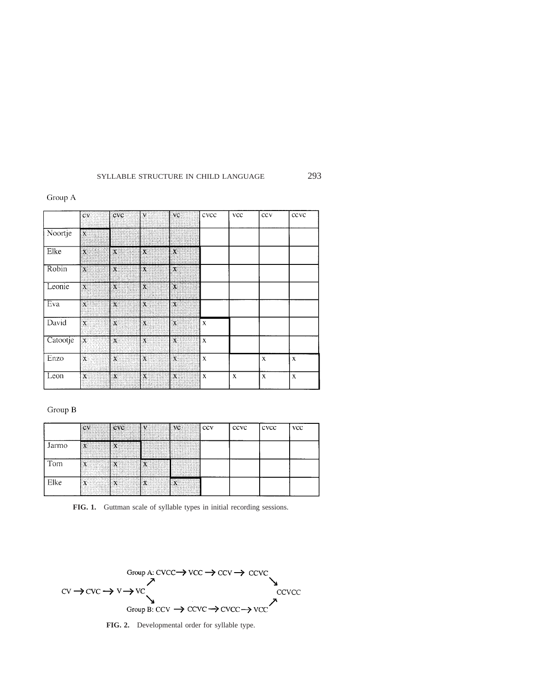#### Group A

|          | $\overline{\mathbf{c}\mathbf{v}}$ | cvc                       | $\mathbf{v}$              | vc           | cvcc        | vcc         | ccv         | ccvc        |
|----------|-----------------------------------|---------------------------|---------------------------|--------------|-------------|-------------|-------------|-------------|
| Noortje  | $\mathbf x$                       |                           |                           |              |             |             |             |             |
| Elke     | $\chi$                            | $\mathbf X$               | $\boldsymbol{\mathsf{X}}$ | $\mathbf{x}$ |             |             |             |             |
| Robin    | $\chi$                            | $\mathbf{x}$              | $\pmb{\chi}$              | $\mathbf x$  |             |             |             |             |
| Leonie   | $\mathbf x$                       | $\mathbf X$               | $\mathbf x$               | $\mathbf{x}$ |             |             |             |             |
| Eva      | $\pmb{\chi}$                      | 4                         | $\mathbf x$               | $\mathbf{X}$ |             |             |             |             |
| David    | $\mathbf{x}$                      | $\mathbf{X}$              | $\mathbf{X}$              | $\mathbf x$  | $\mathbf X$ |             |             |             |
| Catootje | $\mathbf X$                       | $\boldsymbol{\mathsf{X}}$ | X                         | $\mathbf{x}$ | $\mathbf X$ |             |             |             |
| Enzo     | $\mathbf{X}$                      | X                         | $\mathbf x$               | $\mathbf X$  | $\mathbf x$ |             | $\mathbf x$ | $\mathbf x$ |
| Leon     | $\boldsymbol{\chi}$               | $\mathbf x$               | $\mathbf X$               | $\mathbf x$  | $\mathbf X$ | $\mathbf x$ | $\mathbf X$ | $\mathbf X$ |

# Group B

|       | CV<br>San Bal                          | cvc<br><b>HALL</b><br><b>ANGELIA</b>                                | $\mathbf{v}$                      | $\frac{VC}{1}$  | ccv | ccvc | cvcc | <b>VCC</b> |
|-------|----------------------------------------|---------------------------------------------------------------------|-----------------------------------|-----------------|-----|------|------|------------|
| Jarmo | $\mathbf{x}$ and $\mathbf{x}$<br>AMANI | $\mathbf{x}$ and $\mathbf{x}$<br><b>SOLUT</b>                       | <b>TANKS</b>                      | <b>Provinci</b> |     |      |      |            |
| Tom   | $\overline{X}$                         | $\mathbf{x}$                                                        | $X$ and $Y$<br>a kasa<br>eige van |                 |     |      |      |            |
| Elke  | $\mathbf{x}$<br>un primei              | $\left  \begin{array}{ccc} x & \cdots & \cdots \end{array} \right $ | $\mathbf{x}$                      | $\mathbf{x}$    |     |      |      |            |

**FIG. 1.** Guttman scale of syllable types in initial recording sessions.



**FIG. 2.** Developmental order for syllable type.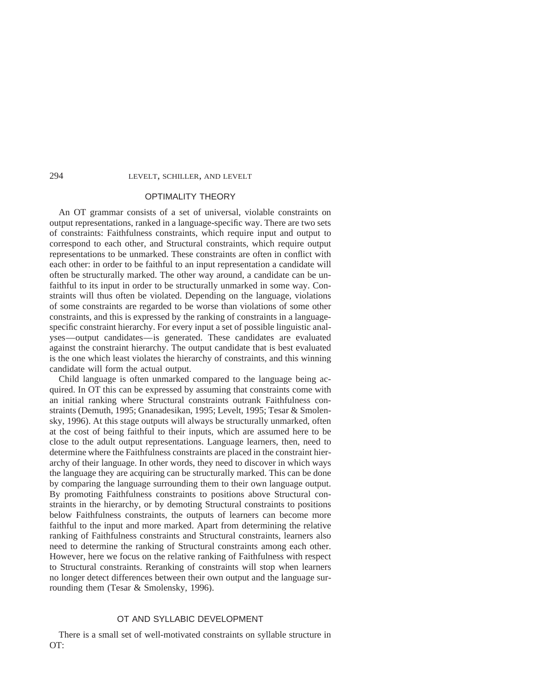# OPTIMALITY THEORY

An OT grammar consists of a set of universal, violable constraints on output representations, ranked in a language-specific way. There are two sets of constraints: Faithfulness constraints, which require input and output to correspond to each other, and Structural constraints, which require output representations to be unmarked. These constraints are often in conflict with each other: in order to be faithful to an input representation a candidate will often be structurally marked. The other way around, a candidate can be unfaithful to its input in order to be structurally unmarked in some way. Constraints will thus often be violated. Depending on the language, violations of some constraints are regarded to be worse than violations of some other constraints, and this is expressed by the ranking of constraints in a languagespecific constraint hierarchy. For every input a set of possible linguistic analyses—output candidates—is generated. These candidates are evaluated against the constraint hierarchy. The output candidate that is best evaluated is the one which least violates the hierarchy of constraints, and this winning candidate will form the actual output.

Child language is often unmarked compared to the language being acquired. In OT this can be expressed by assuming that constraints come with an initial ranking where Structural constraints outrank Faithfulness constraints (Demuth, 1995; Gnanadesikan, 1995; Levelt, 1995; Tesar & Smolensky, 1996). At this stage outputs will always be structurally unmarked, often at the cost of being faithful to their inputs, which are assumed here to be close to the adult output representations. Language learners, then, need to determine where the Faithfulness constraints are placed in the constraint hierarchy of their language. In other words, they need to discover in which ways the language they are acquiring can be structurally marked. This can be done by comparing the language surrounding them to their own language output. By promoting Faithfulness constraints to positions above Structural constraints in the hierarchy, or by demoting Structural constraints to positions below Faithfulness constraints, the outputs of learners can become more faithful to the input and more marked. Apart from determining the relative ranking of Faithfulness constraints and Structural constraints, learners also need to determine the ranking of Structural constraints among each other. However, here we focus on the relative ranking of Faithfulness with respect to Structural constraints. Reranking of constraints will stop when learners no longer detect differences between their own output and the language surrounding them (Tesar & Smolensky, 1996).

### OT AND SYLLABIC DEVELOPMENT

There is a small set of well-motivated constraints on syllable structure in OT: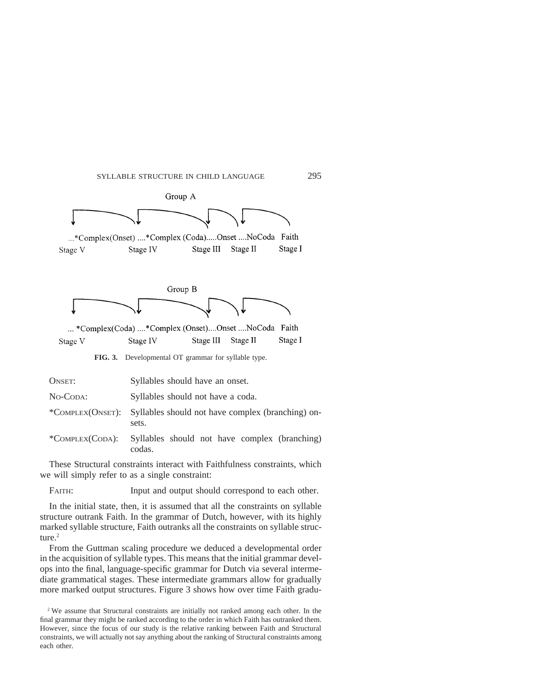

| ONSET:          | Syllables should have an onset.                                             |
|-----------------|-----------------------------------------------------------------------------|
| No-Coda:        | Syllables should not have a coda.                                           |
|                 | *COMPLEX(ONSET): Syllables should not have complex (branching) on-<br>sets. |
| *COMPLEX(CODA): | Syllables should not have complex (branching)<br>codas.                     |

These Structural constraints interact with Faithfulness constraints, which we will simply refer to as a single constraint:

FAITH: Input and output should correspond to each other.

In the initial state, then, it is assumed that all the constraints on syllable structure outrank Faith. In the grammar of Dutch, however, with its highly marked syllable structure, Faith outranks all the constraints on syllable structure $^2$ 

From the Guttman scaling procedure we deduced a developmental order in the acquisition of syllable types. This means that the initial grammar develops into the final, language-specific grammar for Dutch via several intermediate grammatical stages. These intermediate grammars allow for gradually more marked output structures. Figure 3 shows how over time Faith gradu-

<sup>2</sup> We assume that Structural constraints are initially not ranked among each other. In the final grammar they might be ranked according to the order in which Faith has outranked them. However, since the focus of our study is the relative ranking between Faith and Structural constraints, we will actually not say anything about the ranking of Structural constraints among each other.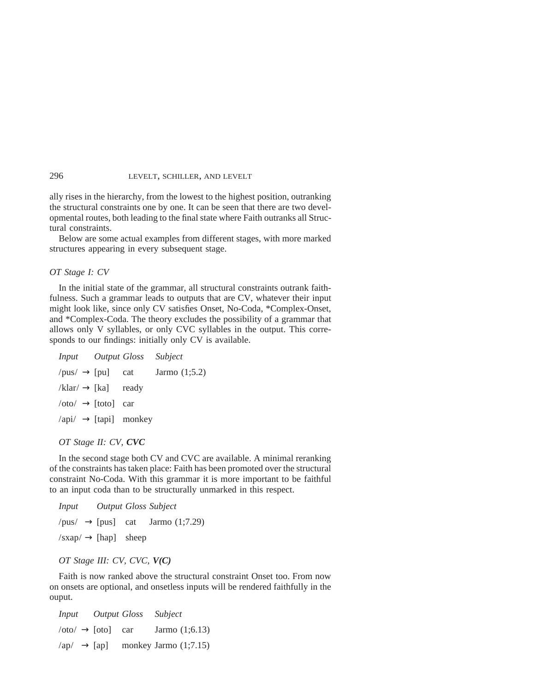ally rises in the hierarchy, from the lowest to the highest position, outranking the structural constraints one by one. It can be seen that there are two developmental routes, both leading to the final state where Faith outranks all Structural constraints.

Below are some actual examples from different stages, with more marked structures appearing in every subsequent stage.

#### *OT Stage I: CV*

In the initial state of the grammar, all structural constraints outrank faithfulness. Such a grammar leads to outputs that are CV, whatever their input might look like, since only CV satisfies Onset, No-Coda, \*Complex-Onset, and \*Complex-Coda. The theory excludes the possibility of a grammar that allows only V syllables, or only CVC syllables in the output. This corresponds to our findings: initially only CV is available.

|                                | Subject                                                                                                                                                           |
|--------------------------------|-------------------------------------------------------------------------------------------------------------------------------------------------------------------|
| $/\text{pus}/\rightarrow$ [pu] | Jarmo $(1,5.2)$                                                                                                                                                   |
|                                |                                                                                                                                                                   |
|                                |                                                                                                                                                                   |
|                                |                                                                                                                                                                   |
|                                | <i>Input Output Gloss</i><br>cat<br>$/klar \rightarrow [ka]$ ready<br>$\prime$ oto $\prime \rightarrow$ [toto] car<br>$\langle$ api $/ \rightarrow$ [tapi] monkey |

*OT Stage II: CV, CVC*

In the second stage both CV and CVC are available. A minimal reranking of the constraints has taken place: Faith has been promoted over the structural constraint No-Coda. With this grammar it is more important to be faithful to an input coda than to be structurally unmarked in this respect.

| <i>Input Output Gloss Subject</i> |  |                                              |
|-----------------------------------|--|----------------------------------------------|
|                                   |  | /pus/ $\rightarrow$ [pus] cat Jarmo (1;7.29) |
| $/sxap \rightarrow [hap]$ sheep   |  |                                              |

### *OT Stage III: CV, CVC, V(C)*

Faith is now ranked above the structural constraint Onset too. From now on onsets are optional, and onsetless inputs will be rendered faithfully in the ouput.

| Input                                 | Output Gloss | Subject                 |
|---------------------------------------|--------------|-------------------------|
| $\langle 0  \to [\text{oto}]$ car     |              | Jarmo $(1;6.13)$        |
| $\langle ap \rangle \rightarrow [ap]$ |              | monkey Jarmo $(1,7.15)$ |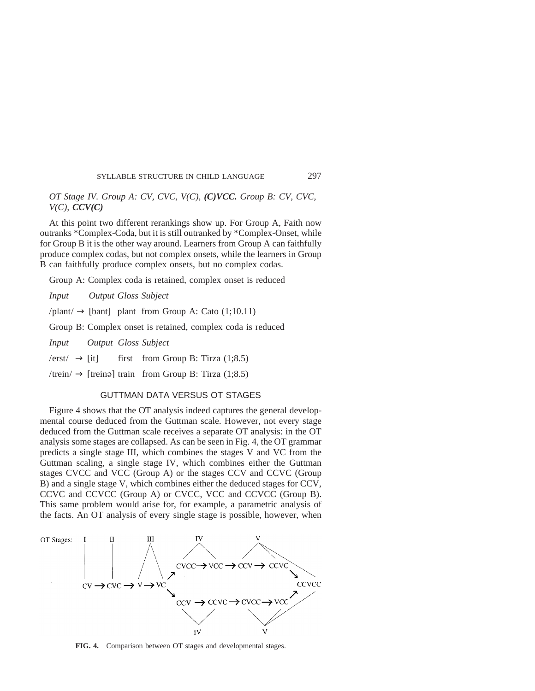# *OT Stage IV. Group A: CV, CVC, V(C), (C)VCC. Group B: CV, CVC, V(C), CCV(C)*

At this point two different rerankings show up. For Group A, Faith now outranks \*Complex-Coda, but it is still outranked by \*Complex-Onset, while for Group B it is the other way around. Learners from Group A can faithfully produce complex codas, but not complex onsets, while the learners in Group B can faithfully produce complex onsets, but no complex codas.

Group A: Complex coda is retained, complex onset is reduced

*Input Output Gloss Subject*

 $\text{/plant/} \rightarrow \text{[bant]}$  plant from Group A: Cato (1;10.11)

Group B: Complex onset is retained, complex coda is reduced

*Input Output Gloss Subject*

 $/$ erst $/ \rightarrow$  [it] first from Group B: Tirza (1;8.5)

/trein/  $\rightarrow$  [treinə] train from Group B: Tirza (1;8.5)

#### GUTTMAN DATA VERSUS OT STAGES

Figure 4 shows that the OT analysis indeed captures the general developmental course deduced from the Guttman scale. However, not every stage deduced from the Guttman scale receives a separate OT analysis: in the OT analysis some stages are collapsed. As can be seen in Fig. 4, the OT grammar predicts a single stage III, which combines the stages V and VC from the Guttman scaling, a single stage IV, which combines either the Guttman stages CVCC and VCC (Group A) or the stages CCV and CCVC (Group B) and a single stage V, which combines either the deduced stages for CCV, CCVC and CCVCC (Group A) or CVCC, VCC and CCVCC (Group B). This same problem would arise for, for example, a parametric analysis of the facts. An OT analysis of every single stage is possible, however, when



**FIG. 4.** Comparison between OT stages and developmental stages.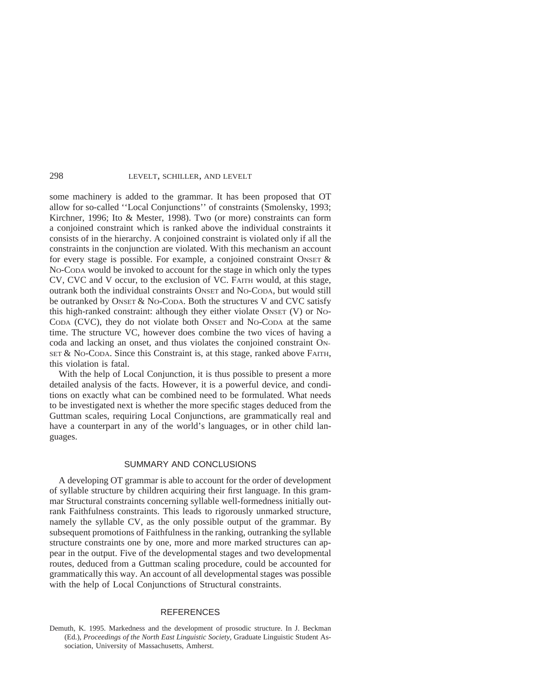some machinery is added to the grammar. It has been proposed that OT allow for so-called ''Local Conjunctions'' of constraints (Smolensky, 1993; Kirchner, 1996; Ito & Mester, 1998). Two (or more) constraints can form a conjoined constraint which is ranked above the individual constraints it consists of in the hierarchy. A conjoined constraint is violated only if all the constraints in the conjunction are violated. With this mechanism an account for every stage is possible. For example, a conjoined constraint ONSET  $\&$ NO-CODA would be invoked to account for the stage in which only the types CV, CVC and V occur, to the exclusion of VC. FAITH would, at this stage, outrank both the individual constraints ONSET and NO-CODA, but would still be outranked by ONSET & NO-CODA. Both the structures V and CVC satisfy this high-ranked constraint: although they either violate ONSET (V) or NO-CODA (CVC), they do not violate both ONSET and NO-CODA at the same time. The structure VC, however does combine the two vices of having a coda and lacking an onset, and thus violates the conjoined constraint ON-SET & NO-CODA. Since this Constraint is, at this stage, ranked above FAITH, this violation is fatal.

With the help of Local Conjunction, it is thus possible to present a more detailed analysis of the facts. However, it is a powerful device, and conditions on exactly what can be combined need to be formulated. What needs to be investigated next is whether the more specific stages deduced from the Guttman scales, requiring Local Conjunctions, are grammatically real and have a counterpart in any of the world's languages, or in other child languages.

# SUMMARY AND CONCLUSIONS

A developing OT grammar is able to account for the order of development of syllable structure by children acquiring their first language. In this grammar Structural constraints concerning syllable well-formedness initially outrank Faithfulness constraints. This leads to rigorously unmarked structure, namely the syllable CV, as the only possible output of the grammar. By subsequent promotions of Faithfulness in the ranking, outranking the syllable structure constraints one by one, more and more marked structures can appear in the output. Five of the developmental stages and two developmental routes, deduced from a Guttman scaling procedure, could be accounted for grammatically this way. An account of all developmental stages was possible with the help of Local Conjunctions of Structural constraints.

# **REFERENCES**

Demuth, K. 1995. Markedness and the development of prosodic structure. In J. Beckman (Ed.), *Proceedings of the North East Linguistic Society,* Graduate Linguistic Student Association, University of Massachusetts, Amherst.